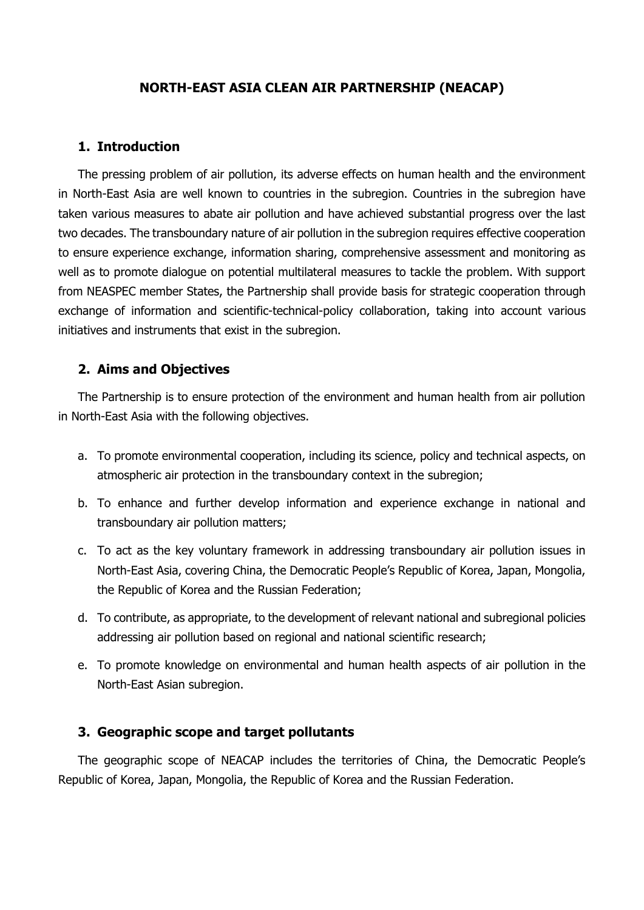### **NORTH-EAST ASIA CLEAN AIR PARTNERSHIP (NEACAP)**

#### **1. Introduction**

The pressing problem of air pollution, its adverse effects on human health and the environment in North-East Asia are well known to countries in the subregion. Countries in the subregion have taken various measures to abate air pollution and have achieved substantial progress over the last two decades. The transboundary nature of air pollution in the subregion requires effective cooperation to ensure experience exchange, information sharing, comprehensive assessment and monitoring as well as to promote dialogue on potential multilateral measures to tackle the problem. With support from NEASPEC member States, the Partnership shall provide basis for strategic cooperation through exchange of information and scientific-technical-policy collaboration, taking into account various initiatives and instruments that exist in the subregion.

#### **2. Aims and Objectives**

The Partnership is to ensure protection of the environment and human health from air pollution in North-East Asia with the following objectives.

- a. To promote environmental cooperation, including its science, policy and technical aspects, on atmospheric air protection in the transboundary context in the subregion;
- b. To enhance and further develop information and experience exchange in national and transboundary air pollution matters;
- c. To act as the key voluntary framework in addressing transboundary air pollution issues in North-East Asia, covering China, the Democratic People's Republic of Korea, Japan, Mongolia, the Republic of Korea and the Russian Federation;
- d. To contribute, as appropriate, to the development of relevant national and subregional policies addressing air pollution based on regional and national scientific research;
- e. To promote knowledge on environmental and human health aspects of air pollution in the North-East Asian subregion.

#### **3. Geographic scope and target pollutants**

The geographic scope of NEACAP includes the territories of China, the Democratic People's Republic of Korea, Japan, Mongolia, the Republic of Korea and the Russian Federation.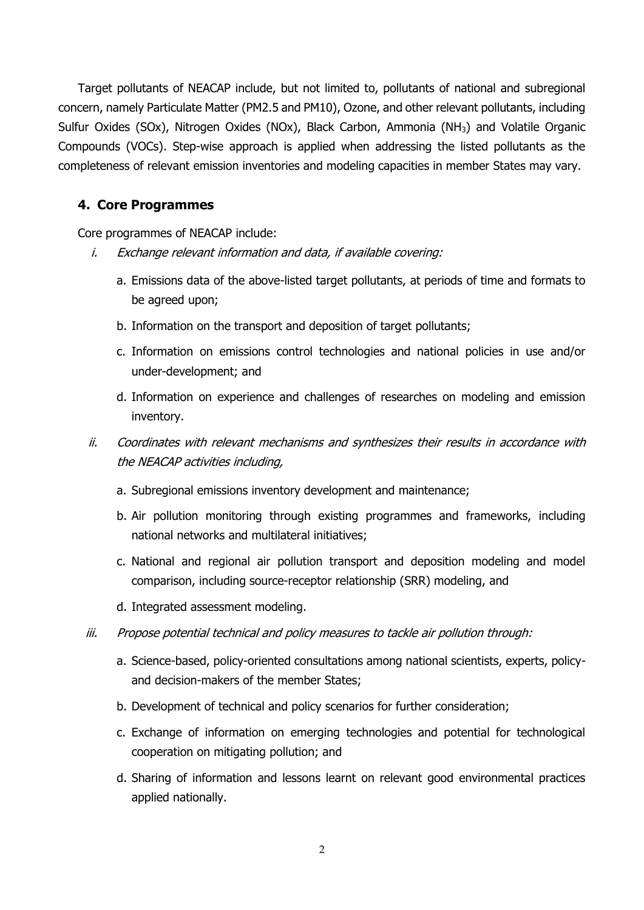Target pollutants of NEACAP include, but not limited to, pollutants of national and subregional concern, namely Particulate Matter (PM2.5 and PM10), Ozone, and other relevant pollutants, including Sulfur Oxides (SOx), Nitrogen Oxides (NOx), Black Carbon, Ammonia (NH3) and Volatile Organic Compounds (VOCs). Step-wise approach is applied when addressing the listed pollutants as the completeness of relevant emission inventories and modeling capacities in member States may vary.

### **4. Core Programmes**

Core programmes of NEACAP include:

- i. Exchange relevant information and data, if available covering:
	- a. Emissions data of the above-listed target pollutants, at periods of time and formats to be agreed upon;
	- b. Information on the transport and deposition of target pollutants;
	- c. Information on emissions control technologies and national policies in use and/or under-development; and
	- d. Information on experience and challenges of researches on modeling and emission inventory.
- ii. Coordinates with relevant mechanisms and synthesizes their results in accordance with the NEACAP activities including,
	- a. Subregional emissions inventory development and maintenance;
	- b. Air pollution monitoring through existing programmes and frameworks, including national networks and multilateral initiatives;
	- c. National and regional air pollution transport and deposition modeling and model comparison, including source-receptor relationship (SRR) modeling, and
	- d. Integrated assessment modeling.
- iii. Propose potential technical and policy measures to tackle air pollution through:
	- a. Science-based, policy-oriented consultations among national scientists, experts, policyand decision-makers of the member States;
	- b. Development of technical and policy scenarios for further consideration;
	- c. Exchange of information on emerging technologies and potential for technological cooperation on mitigating pollution; and
	- d. Sharing of information and lessons learnt on relevant good environmental practices applied nationally.